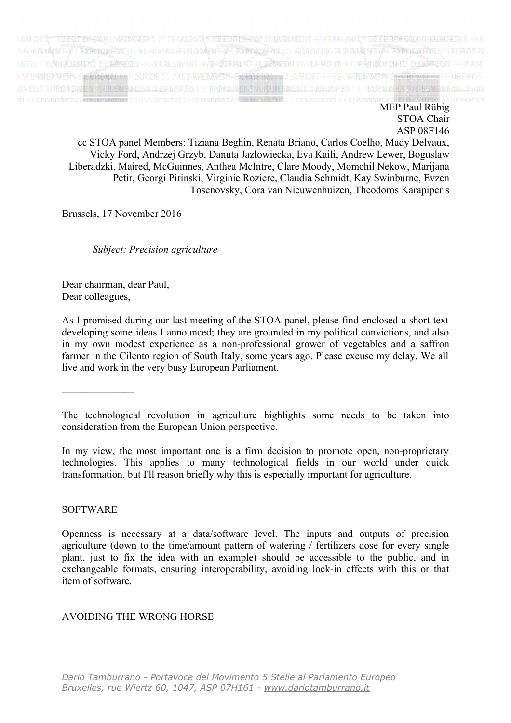

EBPOΠΕЙСКИ ПАРЛАМЕНТ PARLAMENTO EUROPEO EVROPSKÝ PARL EUROPÄISCHES PARLAMENT EUROOPA PARLAMENT EYPΩΠΑΪΚΟ ΚΟΙΝΟΒΟΥΛΙΟ PARLEMENT EUROPÉEN PARLAIMINT NA HEORPA EUROPSKI PARLAME EIROPAS PARLAMENTS EUROPOS PARLAMENTAS EURÓPAI PARLAMENT EUROPEES PARLEMENT PARLAMENT EUROPEJSKI PARLAMENTO EUR EURÓPSKY PARLAMENT EVROPSKI PARLAMENT EUROOPAN PARLAMENT

> MEP Paul Rübig STOA Chair ASP 08F146

cc STOA panel Members: Tiziana Beghin, Renata Briano, Carlos Coelho, Mady Delvaux, Vicky Ford, Andrzej Grzyb, Danuta Jazlowiecka, Eva Kaili, Andrew Lewer, Boguslaw Liberadzki, Maired, McGuinnes, Anthea McIntre, Clare Moody, Momchil Nekow, Marijana Petir, Georgi Pirinski, Virginie Roziere, Claudia Schmidt, Kay Swinburne, Evzen Tosenovsky, Cora van Nieuwenhuizen, Theodoros Karapiperis

Brussels, 17 November 2016

*Subject: Precision agriculture*

Dear chairman, dear Paul, Dear colleagues,

As I promised during our last meeting of the STOA panel, please find enclosed a short text developing some ideas I announced; they are grounded in my political convictions, and also in my own modest experience as a non-professional grower of vegetables and a saffron farmer in the Cilento region of South Italy, some years ago. Please excuse my delay. We all live and work in the very busy European Parliament.

––––––––––––––

In my view, the most important one is a firm decision to promote open, non-proprietary technologies. This applies to many technological fields in our world under quick transformation, but I'll reason briefly why this is especially important for agriculture.

## SOFTWARE

## AVOIDING THE WRONG HORSE

The technological revolution in agriculture highlights some needs to be taken into consideration from the European Union perspective.

Openness is necessary at a data/software level. The inputs and outputs of precision agriculture (down to the time/amount pattern of watering / fertilizers dose for every single plant, just to fix the idea with an example) should be accessible to the public, and in exchangeable formats, ensuring interoperability, avoiding lock-in effects with this or that item of software.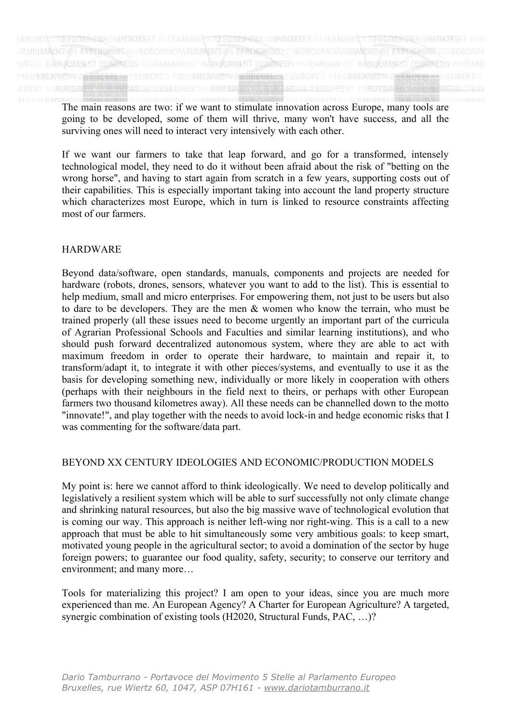

EBPOΠΕЙСКИ ПАРЛАМЕНТ PARLAMENTO EUROPEO EVROPSKÝ PARI EUROPÄISCHES PARLAMENT EUROOPA PARLAMENT EYPΩΠΑΪΚΟ ΚΟΙΝΟΒΟΥΛΙ PARLEMENT EUROPÉEN PARLAIMINT NA HEORPA EUROPSKI PARLAME EIROPAS PARLAMENTS EUROPOS PARLAMENTAS EURÓPAI PARLAMENT EUROPEES PARLEMENT PARLAMENT EUROPEJSKI PARLAMENTO EUR EURÓPSKY PARLAMENT EVROPSKI PARLAMENT EUROOPAN PARLAMENT

The main reasons are two: if we want to stimulate innovation across Europe, many tools are going to be developed, some of them will thrive, many won't have success, and all the surviving ones will need to interact very intensively with each other.

If we want our farmers to take that leap forward, and go for a transformed, intensely technological model, they need to do it without been afraid about the risk of "betting on the wrong horse", and having to start again from scratch in a few years, supporting costs out of their capabilities. This is especially important taking into account the land property structure which characterizes most Europe, which in turn is linked to resource constraints affecting most of our farmers.

## HARDWARE

Beyond data/software, open standards, manuals, components and projects are needed for hardware (robots, drones, sensors, whatever you want to add to the list). This is essential to help medium, small and micro enterprises. For empowering them, not just to be users but also to dare to be developers. They are the men & women who know the terrain, who must be trained properly (all these issues need to become urgently an important part of the curricula of Agrarian Professional Schools and Faculties and similar learning institutions), and who should push forward decentralized autonomous system, where they are able to act with maximum freedom in order to operate their hardware, to maintain and repair it, to transform/adapt it, to integrate it with other pieces/systems, and eventually to use it as the basis for developing something new, individually or more likely in cooperation with others (perhaps with their neighbours in the field next to theirs, or perhaps with other European farmers two thousand kilometres away). All these needs can be channelled down to the motto "innovate!", and play together with the needs to avoid lock-in and hedge economic risks that I was commenting for the software/data part.

## BEYOND XX CENTURY IDEOLOGIES AND ECONOMIC/PRODUCTION MODELS

My point is: here we cannot afford to think ideologically. We need to develop politically and legislatively a resilient system which will be able to surf successfully not only climate change and shrinking natural resources, but also the big massive wave of technological evolution that is coming our way. This approach is neither left-wing nor right-wing. This is a call to a new approach that must be able to hit simultaneously some very ambitious goals: to keep smart, motivated young people in the agricultural sector; to avoid a domination of the sector by huge foreign powers; to guarantee our food quality, safety, security; to conserve our territory and environment; and many more…

Tools for materializing this project? I am open to your ideas, since you are much more experienced than me. An European Agency? A Charter for European Agriculture? A targeted, synergic combination of existing tools (H2020, Structural Funds, PAC, ...)?